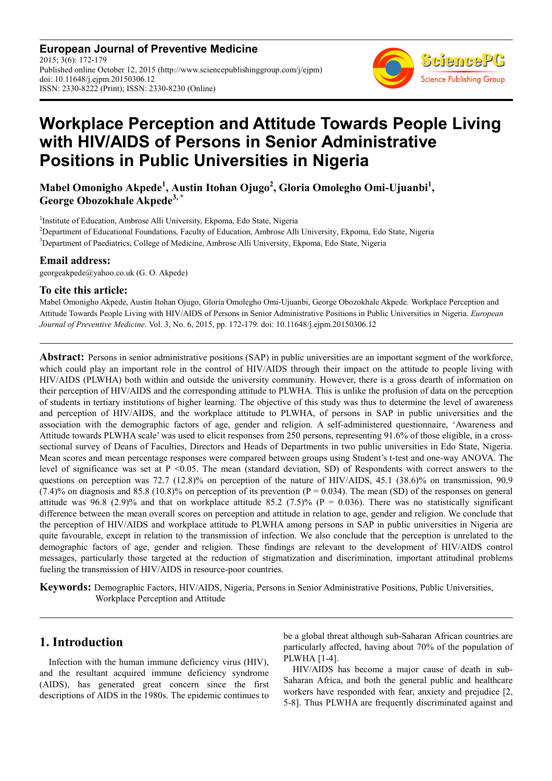**European Journal of Preventive Medicine** 2015; 3(6): 172-179 Published online October 12, 2015 (http://www.sciencepublishinggroup.com/j/ejpm) doi: 10.11648/j.ejpm.20150306.12 ISSN: 2330-8222 (Print); ISSN: 2330-8230 (Online)



# **Workplace Perception and Attitude Towards People Living with HIV/AIDS of Persons in Senior Administrative Positions in Public Universities in Nigeria**

**Mabel Omonigho Akpede<sup>1</sup> , Austin Itohan Ojugo<sup>2</sup> , Gloria Omolegho Omi-Ujuanbi<sup>1</sup> , George Obozokhale Akpede3, \*** 

<sup>1</sup>Institute of Education, Ambrose Alli University, Ekpoma, Edo State, Nigeria <sup>2</sup>Department of Educational Foundations, Faculty of Education, Ambrose Alli University, Ekpoma, Edo State, Nigeria <sup>3</sup>Department of Paediatrics, College of Medicine, Ambrose Alli University, Ekpoma, Edo State, Nigeria

#### **Email address:**

georgeakpede@yahoo.co.uk (G. O. Akpede)

#### **To cite this article:**

Mabel Omonigho Akpede, Austin Itohan Ojugo, Gloria Omolegho Omi-Ujuanbi, George Obozokhale Akpede. Workplace Perception and Attitude Towards People Living with HIV/AIDS of Persons in Senior Administrative Positions in Public Universities in Nigeria. *European Journal of Preventive Medicine*. Vol. 3, No. 6, 2015, pp. 172-179. doi: 10.11648/j.ejpm.20150306.12

**Abstract:** Persons in senior administrative positions (SAP) in public universities are an important segment of the workforce, which could play an important role in the control of HIV/AIDS through their impact on the attitude to people living with HIV/AIDS (PLWHA) both within and outside the university community. However, there is a gross dearth of information on their perception of HIV/AIDS and the corresponding attitude to PLWHA. This is unlike the profusion of data on the perception of students in tertiary institutions of higher learning. The objective of this study was thus to determine the level of awareness and perception of HIV/AIDS, and the workplace attitude to PLWHA, of persons in SAP in public universities and the association with the demographic factors of age, gender and religion. A self-administered questionnaire, 'Awareness and Attitude towards PLWHA scale' was used to elicit responses from 250 persons, representing 91.6% of those eligible, in a crosssectional survey of Deans of Faculties, Directors and Heads of Departments in two public universities in Edo State, Nigeria. Mean scores and mean percentage responses were compared between groups using Student's t-test and one-way ANOVA. The level of significance was set at P <0.05. The mean (standard deviation, SD) of Respondents with correct answers to the questions on perception was 72.7 (12.8)% on perception of the nature of HIV/AIDS, 45.1 (38.6)% on transmission, 90.9  $(7.4)$ % on diagnosis and 85.8 (10.8)% on perception of its prevention (P = 0.034). The mean (SD) of the responses on general attitude was 96.8 (2.9)% and that on workplace attitude 85.2 (7.5)% ( $P = 0.036$ ). There was no statistically significant difference between the mean overall scores on perception and attitude in relation to age, gender and religion. We conclude that the perception of HIV/AIDS and workplace attitude to PLWHA among persons in SAP in public universities in Nigeria are quite favourable, except in relation to the transmission of infection. We also conclude that the perception is unrelated to the demographic factors of age, gender and religion. These findings are relevant to the development of HIV/AIDS control messages, particularly those targeted at the reduction of stigmatization and discrimination, important attitudinal problems fueling the transmission of HIV/AIDS in resource-poor countries.

**Keywords:** Demographic Factors, HIV/AIDS, Nigeria, Persons in Senior Administrative Positions, Public Universities, Workplace Perception and Attitude

## **1. Introduction**

Infection with the human immune deficiency virus (HIV), and the resultant acquired immune deficiency syndrome (AIDS), has generated great concern since the first descriptions of AIDS in the 1980s. The epidemic continues to be a global threat although sub-Saharan African countries are particularly affected, having about 70% of the population of PLWHA [1-4].

HIV/AIDS has become a major cause of death in sub-Saharan Africa, and both the general public and healthcare workers have responded with fear, anxiety and prejudice [2, 5-8]. Thus PLWHA are frequently discriminated against and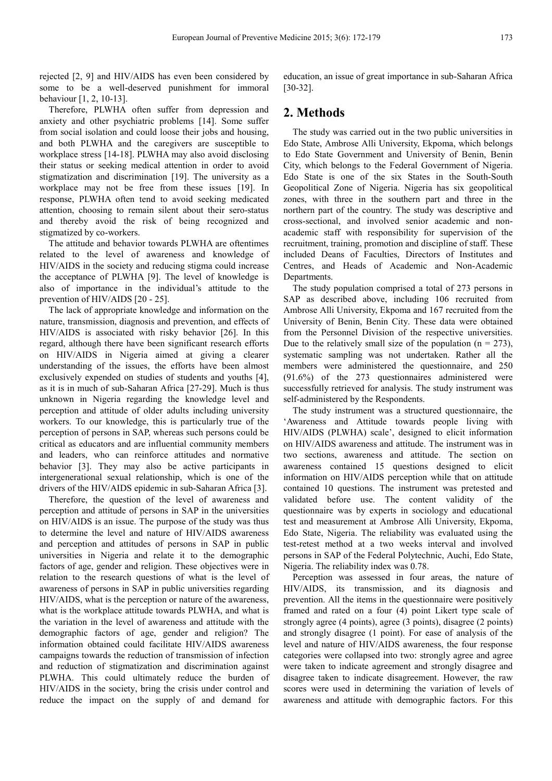rejected [2, 9] and HIV/AIDS has even been considered by some to be a well-deserved punishment for immoral behaviour [1, 2, 10-13].

Therefore, PLWHA often suffer from depression and anxiety and other psychiatric problems [14]. Some suffer from social isolation and could loose their jobs and housing, and both PLWHA and the caregivers are susceptible to workplace stress [14-18]. PLWHA may also avoid disclosing their status or seeking medical attention in order to avoid stigmatization and discrimination [19]. The university as a workplace may not be free from these issues [19]. In response, PLWHA often tend to avoid seeking medicated attention, choosing to remain silent about their sero-status and thereby avoid the risk of being recognized and stigmatized by co-workers.

The attitude and behavior towards PLWHA are oftentimes related to the level of awareness and knowledge of HIV/AIDS in the society and reducing stigma could increase the acceptance of PLWHA [9]. The level of knowledge is also of importance in the individual's attitude to the prevention of HIV/AIDS [20 - 25].

The lack of appropriate knowledge and information on the nature, transmission, diagnosis and prevention, and effects of HIV/AIDS is associated with risky behavior [26]. In this regard, although there have been significant research efforts on HIV/AIDS in Nigeria aimed at giving a clearer understanding of the issues, the efforts have been almost exclusively expended on studies of students and youths [4], as it is in much of sub-Saharan Africa [27-29]. Much is thus unknown in Nigeria regarding the knowledge level and perception and attitude of older adults including university workers. To our knowledge, this is particularly true of the perception of persons in SAP, whereas such persons could be critical as educators and are influential community members and leaders, who can reinforce attitudes and normative behavior [3]. They may also be active participants in intergenerational sexual relationship, which is one of the drivers of the HIV/AIDS epidemic in sub-Saharan Africa [3].

Therefore, the question of the level of awareness and perception and attitude of persons in SAP in the universities on HIV/AIDS is an issue. The purpose of the study was thus to determine the level and nature of HIV/AIDS awareness and perception and attitudes of persons in SAP in public universities in Nigeria and relate it to the demographic factors of age, gender and religion. These objectives were in relation to the research questions of what is the level of awareness of persons in SAP in public universities regarding HIV/AIDS, what is the perception or nature of the awareness, what is the workplace attitude towards PLWHA, and what is the variation in the level of awareness and attitude with the demographic factors of age, gender and religion? The information obtained could facilitate HIV/AIDS awareness campaigns towards the reduction of transmission of infection and reduction of stigmatization and discrimination against PLWHA. This could ultimately reduce the burden of HIV/AIDS in the society, bring the crisis under control and reduce the impact on the supply of and demand for

education, an issue of great importance in sub-Saharan Africa [30-32].

# **2. Methods**

The study was carried out in the two public universities in Edo State, Ambrose Alli University, Ekpoma, which belongs to Edo State Government and University of Benin, Benin City, which belongs to the Federal Government of Nigeria. Edo State is one of the six States in the South-South Geopolitical Zone of Nigeria. Nigeria has six geopolitical zones, with three in the southern part and three in the northern part of the country. The study was descriptive and cross-sectional, and involved senior academic and nonacademic staff with responsibility for supervision of the recruitment, training, promotion and discipline of staff. These included Deans of Faculties, Directors of Institutes and Centres, and Heads of Academic and Non-Academic Departments.

The study population comprised a total of 273 persons in SAP as described above, including 106 recruited from Ambrose Alli University, Ekpoma and 167 recruited from the University of Benin, Benin City. These data were obtained from the Personnel Division of the respective universities. Due to the relatively small size of the population  $(n = 273)$ , systematic sampling was not undertaken. Rather all the members were administered the questionnaire, and 250 (91.6%) of the 273 questionnaires administered were successfully retrieved for analysis. The study instrument was self-administered by the Respondents.

The study instrument was a structured questionnaire, the 'Awareness and Attitude towards people living with HIV/AIDS (PLWHA) scale', designed to elicit information on HIV/AIDS awareness and attitude. The instrument was in two sections, awareness and attitude. The section on awareness contained 15 questions designed to elicit information on HIV/AIDS perception while that on attitude contained 10 questions. The instrument was pretested and validated before use. The content validity of the questionnaire was by experts in sociology and educational test and measurement at Ambrose Alli University, Ekpoma, Edo State, Nigeria. The reliability was evaluated using the test-retest method at a two weeks interval and involved persons in SAP of the Federal Polytechnic, Auchi, Edo State, Nigeria. The reliability index was 0.78.

Perception was assessed in four areas, the nature of HIV/AIDS, its transmission, and its diagnosis and prevention. All the items in the questionnaire were positively framed and rated on a four (4) point Likert type scale of strongly agree (4 points), agree (3 points), disagree (2 points) and strongly disagree (1 point). For ease of analysis of the level and nature of HIV/AIDS awareness, the four response categories were collapsed into two: strongly agree and agree were taken to indicate agreement and strongly disagree and disagree taken to indicate disagreement. However, the raw scores were used in determining the variation of levels of awareness and attitude with demographic factors. For this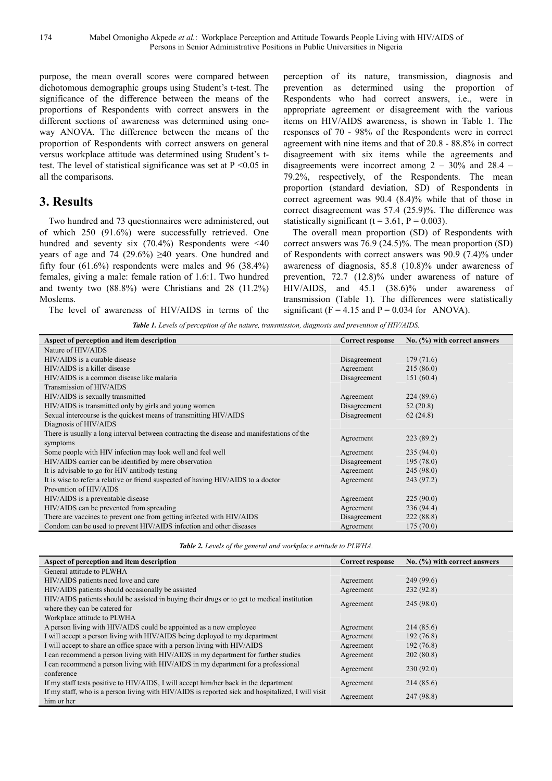174 Mabel Omonigho Akpede *et al.*: Workplace Perception and Attitude Towards People Living with HIV/AIDS of Persons in Senior Administrative Positions in Public Universities in Nigeria

purpose, the mean overall scores were compared between dichotomous demographic groups using Student's t-test. The significance of the difference between the means of the proportions of Respondents with correct answers in the different sections of awareness was determined using oneway ANOVA. The difference between the means of the proportion of Respondents with correct answers on general versus workplace attitude was determined using Student's ttest. The level of statistical significance was set at  $P \le 0.05$  in all the comparisons.

# **3. Results**

Two hundred and 73 questionnaires were administered, out of which 250 (91.6%) were successfully retrieved. One hundred and seventy six  $(70.4%)$  Respondents were <40 years of age and 74 (29.6%)  $\geq$ 40 years. One hundred and fifty four (61.6%) respondents were males and 96 (38.4%) females, giving a male: female ration of 1.6:1. Two hundred and twenty two (88.8%) were Christians and 28 (11.2%) Moslems.

The level of awareness of HIV/AIDS in terms of the

perception of its nature, transmission, diagnosis and prevention as determined using the proportion of Respondents who had correct answers, i.e., were in appropriate agreement or disagreement with the various items on HIV/AIDS awareness, is shown in Table 1. The responses of 70 - 98% of the Respondents were in correct agreement with nine items and that of 20.8 - 88.8% in correct disagreement with six items while the agreements and disagreements were incorrect among  $2 - 30\%$  and  $28.4 -$ 79.2%, respectively, of the Respondents. The mean proportion (standard deviation, SD) of Respondents in correct agreement was 90.4 (8.4)% while that of those in correct disagreement was 57.4 (25.9)%. The difference was statistically significant  $(t = 3.61, P = 0.003)$ .

The overall mean proportion (SD) of Respondents with correct answers was 76.9 (24.5)%. The mean proportion (SD) of Respondents with correct answers was 90.9 (7.4)% under awareness of diagnosis, 85.8 (10.8)% under awareness of prevention, 72.7 (12.8)% under awareness of nature of HIV/AIDS, and 45.1 (38.6)% under awareness of transmission (Table 1). The differences were statistically significant ( $F = 4.15$  and  $P = 0.034$  for ANOVA).

*Table 1. Levels of perception of the nature, transmission, diagnosis and prevention of HIV/AIDS.* 

| Aspect of perception and item description                                                  | <b>Correct response</b>  | No. (%) with correct answers |  |
|--------------------------------------------------------------------------------------------|--------------------------|------------------------------|--|
| Nature of HIV/AIDS                                                                         |                          |                              |  |
| HIV/AIDS is a curable disease                                                              | Disagreement             | 179(71.6)                    |  |
| HIV/AIDS is a killer disease                                                               | 215(86.0)<br>Agreement   |                              |  |
| HIV/AIDS is a common disease like malaria                                                  | Disagreement             | 151(60.4)                    |  |
| Transmission of HIV/AIDS                                                                   |                          |                              |  |
| HIV/AIDS is sexually transmitted                                                           | Agreement                | 224(89.6)                    |  |
| HIV/AIDS is transmitted only by girls and young women                                      | 52(20.8)<br>Disagreement |                              |  |
| Sexual intercourse is the quickest means of transmitting HIV/AIDS                          | Disagreement<br>62(24.8) |                              |  |
| Diagnosis of HIV/AIDS                                                                      |                          |                              |  |
| There is usually a long interval between contracting the disease and manifestations of the |                          | 223(89.2)                    |  |
| symptoms                                                                                   | Agreement                |                              |  |
| Some people with HIV infection may look well and feel well                                 | Agreement                | 235(94.0)                    |  |
| HIV/AIDS carrier can be identified by mere observation                                     | Disagreement             | 195(78.0)                    |  |
| It is advisable to go for HIV antibody testing                                             | 245(98.0)<br>Agreement   |                              |  |
| It is wise to refer a relative or friend suspected of having HIV/AIDS to a doctor          | Agreement                | 243 (97.2)                   |  |
| Prevention of HIV/AIDS                                                                     |                          |                              |  |
| HIV/AIDS is a preventable disease                                                          | Agreement                | 225(90.0)                    |  |
| HIV/AIDS can be prevented from spreading                                                   | Agreement                | 236(94.4)                    |  |
| There are vaccines to prevent one from getting infected with HIV/AIDS                      | Disagreement             | 222(88.8)                    |  |
| Condom can be used to prevent HIV/AIDS infection and other diseases                        | Agreement                | 175(70.0)                    |  |

*Table 2. Levels of the general and workplace attitude to PLWHA.* 

| Aspect of perception and item description                                                         | <b>Correct response</b> | No. $(\%)$ with correct answers |  |
|---------------------------------------------------------------------------------------------------|-------------------------|---------------------------------|--|
| General attitude to PLWHA                                                                         |                         |                                 |  |
| HIV/AIDS patients need love and care                                                              | Agreement               | 249 (99.6)                      |  |
| HIV/AIDS patients should occasionally be assisted                                                 | Agreement               | 232(92.8)                       |  |
| HIV/AIDS patients should be assisted in buying their drugs or to get to medical institution       |                         | 245(98.0)                       |  |
| where they can be catered for                                                                     | Agreement               |                                 |  |
| Workplace attitude to PLWHA                                                                       |                         |                                 |  |
| A person living with HIV/AIDS could be appointed as a new employee                                | Agreement               | 214 (85.6)                      |  |
| I will accept a person living with HIV/AIDS being deployed to my department                       | Agreement               | 192(76.8)                       |  |
| I will accept to share an office space with a person living with HIV/AIDS                         | Agreement               | 192(76.8)                       |  |
| I can recommend a person living with HIV/AIDS in my department for further studies                | Agreement               | 202(80.8)                       |  |
| I can recommend a person living with HIV/AIDS in my department for a professional                 | Agreement               | 230(92.0)                       |  |
| conference                                                                                        |                         |                                 |  |
| If my staff tests positive to HIV/AIDS, I will accept him/her back in the department              | Agreement               | 214 (85.6)                      |  |
| If my staff, who is a person living with HIV/AIDS is reported sick and hospitalized, I will visit |                         | 247 (98.8)                      |  |
| him or her                                                                                        | Agreement               |                                 |  |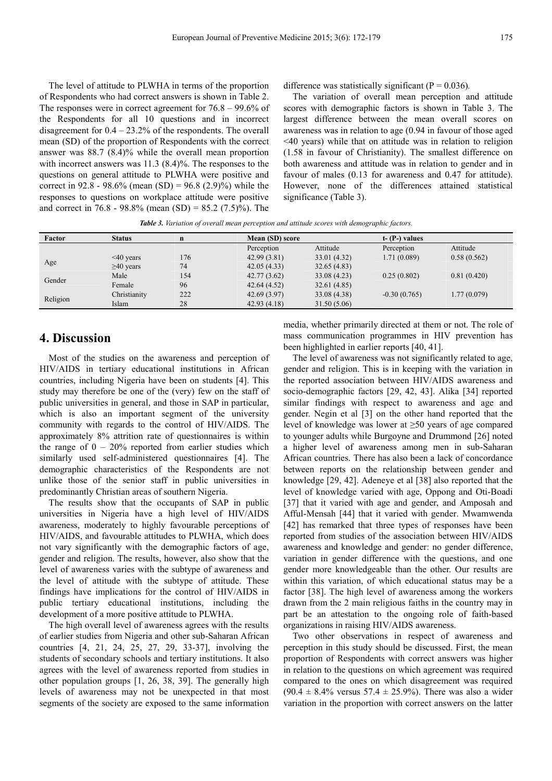The level of attitude to PLWHA in terms of the proportion of Respondents who had correct answers is shown in Table 2. The responses were in correct agreement for 76.8 – 99.6% of the Respondents for all 10 questions and in incorrect disagreement for  $0.4 - 23.2\%$  of the respondents. The overall mean (SD) of the proportion of Respondents with the correct answer was 88.7 (8.4)% while the overall mean proportion with incorrect answers was 11.3 (8.4)%. The responses to the questions on general attitude to PLWHA were positive and correct in 92.8 - 98.6% (mean (SD) = 96.8 (2.9)%) while the responses to questions on workplace attitude were positive and correct in 76.8 - 98.8% (mean  $(SD) = 85.2$  (7.5)%). The

difference was statistically significant ( $P = 0.036$ ).

The variation of overall mean perception and attitude scores with demographic factors is shown in Table 3. The largest difference between the mean overall scores on awareness was in relation to age (0.94 in favour of those aged <40 years) while that on attitude was in relation to religion (1.58 in favour of Christianity). The smallest difference on both awareness and attitude was in relation to gender and in favour of males (0.13 for awareness and 0.47 for attitude). However, none of the differences attained statistical significance (Table 3).

*Table 3. Variation of overall mean perception and attitude scores with demographic factors.* 

| Factor   | <b>Status</b>   | $\mathbf n$ | Mean (SD) score |              | $t - (P-)$ values |             |
|----------|-----------------|-------------|-----------------|--------------|-------------------|-------------|
|          |                 |             | Perception      | Attitude     | Perception        | Attitude    |
| Age      | $\leq 40$ years | 176         | 42.99(3.81)     | 33.01 (4.32) | 1.71(0.089)       | 0.58(0.562) |
|          | $\geq 40$ years | 74          | 42.05(4.33)     | 32.65(4.83)  |                   |             |
| Gender   | Male            | 154         | 42.77(3.62)     | 33.08(4.23)  | 0.25(0.802)       | 0.81(0.420) |
|          | Female          | 96          | 42.64(4.52)     | 32.61 (4.85) |                   |             |
| Religion | Christianity    | 222         | 42.69(3.97)     | 33.08 (4.38) | $-0.30(0.765)$    | 1.77(0.079) |
|          | Islam           | 28          | 42.93(4.18)     | 31.50(5.06)  |                   |             |

# **4. Discussion**

Most of the studies on the awareness and perception of HIV/AIDS in tertiary educational institutions in African countries, including Nigeria have been on students [4]. This study may therefore be one of the (very) few on the staff of public universities in general, and those in SAP in particular, which is also an important segment of the university community with regards to the control of HIV/AIDS. The approximately 8% attrition rate of questionnaires is within the range of  $0 - 20\%$  reported from earlier studies which similarly used self-administered questionnaires [4]. The demographic characteristics of the Respondents are not unlike those of the senior staff in public universities in predominantly Christian areas of southern Nigeria.

The results show that the occupants of SAP in public universities in Nigeria have a high level of HIV/AIDS awareness, moderately to highly favourable perceptions of HIV/AIDS, and favourable attitudes to PLWHA, which does not vary significantly with the demographic factors of age, gender and religion. The results, however, also show that the level of awareness varies with the subtype of awareness and the level of attitude with the subtype of attitude. These findings have implications for the control of HIV/AIDS in public tertiary educational institutions, including the development of a more positive attitude to PLWHA.

The high overall level of awareness agrees with the results of earlier studies from Nigeria and other sub-Saharan African countries [4, 21, 24, 25, 27, 29, 33-37], involving the students of secondary schools and tertiary institutions. It also agrees with the level of awareness reported from studies in other population groups [1, 26, 38, 39]. The generally high levels of awareness may not be unexpected in that most segments of the society are exposed to the same information

media, whether primarily directed at them or not. The role of mass communication programmes in HIV prevention has been highlighted in earlier reports [40, 41].

The level of awareness was not significantly related to age, gender and religion. This is in keeping with the variation in the reported association between HIV/AIDS awareness and socio-demographic factors [29, 42, 43]. Alika [34] reported similar findings with respect to awareness and age and gender. Negin et al [3] on the other hand reported that the level of knowledge was lower at ≥50 years of age compared to younger adults while Burgoyne and Drummond [26] noted a higher level of awareness among men in sub-Saharan African countries. There has also been a lack of concordance between reports on the relationship between gender and knowledge [29, 42]. Adeneye et al [38] also reported that the level of knowledge varied with age, Oppong and Oti-Boadi [37] that it varied with age and gender, and Amposah and Afful-Mensah [44] that it varied with gender. Mwamwenda [42] has remarked that three types of responses have been reported from studies of the association between HIV/AIDS awareness and knowledge and gender: no gender difference, variation in gender difference with the questions, and one gender more knowledgeable than the other. Our results are within this variation, of which educational status may be a factor [38]. The high level of awareness among the workers drawn from the 2 main religious faiths in the country may in part be an attestation to the ongoing role of faith-based organizations in raising HIV/AIDS awareness.

Two other observations in respect of awareness and perception in this study should be discussed. First, the mean proportion of Respondents with correct answers was higher in relation to the questions on which agreement was required compared to the ones on which disagreement was required  $(90.4 \pm 8.4\% \text{ versus } 57.4 \pm 25.9\%)$ . There was also a wider variation in the proportion with correct answers on the latter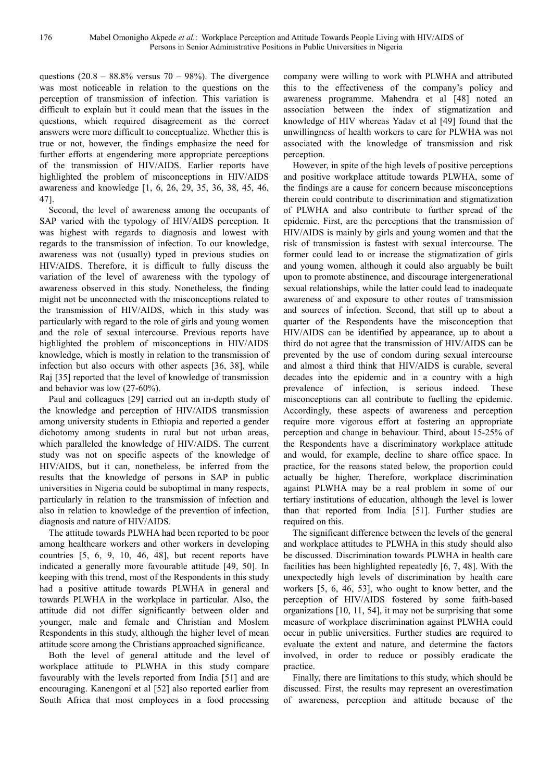questions  $(20.8 - 88.8\%$  versus  $70 - 98\%$ ). The divergence was most noticeable in relation to the questions on the perception of transmission of infection. This variation is difficult to explain but it could mean that the issues in the questions, which required disagreement as the correct answers were more difficult to conceptualize. Whether this is true or not, however, the findings emphasize the need for further efforts at engendering more appropriate perceptions of the transmission of HIV/AIDS. Earlier reports have highlighted the problem of misconceptions in HIV/AIDS awareness and knowledge [1, 6, 26, 29, 35, 36, 38, 45, 46, 47].

Second, the level of awareness among the occupants of SAP varied with the typology of HIV/AIDS perception. It was highest with regards to diagnosis and lowest with regards to the transmission of infection. To our knowledge, awareness was not (usually) typed in previous studies on HIV/AIDS. Therefore, it is difficult to fully discuss the variation of the level of awareness with the typology of awareness observed in this study. Nonetheless, the finding might not be unconnected with the misconceptions related to the transmission of HIV/AIDS, which in this study was particularly with regard to the role of girls and young women and the role of sexual intercourse. Previous reports have highlighted the problem of misconceptions in HIV/AIDS knowledge, which is mostly in relation to the transmission of infection but also occurs with other aspects [36, 38], while Raj [35] reported that the level of knowledge of transmission and behavior was low (27-60%).

Paul and colleagues [29] carried out an in-depth study of the knowledge and perception of HIV/AIDS transmission among university students in Ethiopia and reported a gender dichotomy among students in rural but not urban areas, which paralleled the knowledge of HIV/AIDS. The current study was not on specific aspects of the knowledge of HIV/AIDS, but it can, nonetheless, be inferred from the results that the knowledge of persons in SAP in public universities in Nigeria could be suboptimal in many respects, particularly in relation to the transmission of infection and also in relation to knowledge of the prevention of infection, diagnosis and nature of HIV/AIDS.

The attitude towards PLWHA had been reported to be poor among healthcare workers and other workers in developing countries [5, 6, 9, 10, 46, 48], but recent reports have indicated a generally more favourable attitude [49, 50]. In keeping with this trend, most of the Respondents in this study had a positive attitude towards PLWHA in general and towards PLWHA in the workplace in particular. Also, the attitude did not differ significantly between older and younger, male and female and Christian and Moslem Respondents in this study, although the higher level of mean attitude score among the Christians approached significance.

Both the level of general attitude and the level of workplace attitude to PLWHA in this study compare favourably with the levels reported from India [51] and are encouraging. Kanengoni et al [52] also reported earlier from South Africa that most employees in a food processing company were willing to work with PLWHA and attributed this to the effectiveness of the company's policy and awareness programme. Mahendra et al [48] noted an association between the index of stigmatization and knowledge of HIV whereas Yadav et al [49] found that the unwillingness of health workers to care for PLWHA was not associated with the knowledge of transmission and risk perception.

However, in spite of the high levels of positive perceptions and positive workplace attitude towards PLWHA, some of the findings are a cause for concern because misconceptions therein could contribute to discrimination and stigmatization of PLWHA and also contribute to further spread of the epidemic. First, are the perceptions that the transmission of HIV/AIDS is mainly by girls and young women and that the risk of transmission is fastest with sexual intercourse. The former could lead to or increase the stigmatization of girls and young women, although it could also arguably be built upon to promote abstinence, and discourage intergenerational sexual relationships, while the latter could lead to inadequate awareness of and exposure to other routes of transmission and sources of infection. Second, that still up to about a quarter of the Respondents have the misconception that HIV/AIDS can be identified by appearance, up to about a third do not agree that the transmission of HIV/AIDS can be prevented by the use of condom during sexual intercourse and almost a third think that HIV/AIDS is curable, several decades into the epidemic and in a country with a high prevalence of infection, is serious indeed. These misconceptions can all contribute to fuelling the epidemic. Accordingly, these aspects of awareness and perception require more vigorous effort at fostering an appropriate perception and change in behaviour. Third, about 15-25% of the Respondents have a discriminatory workplace attitude and would, for example, decline to share office space. In practice, for the reasons stated below, the proportion could actually be higher. Therefore, workplace discrimination against PLWHA may be a real problem in some of our tertiary institutions of education, although the level is lower than that reported from India [51]. Further studies are required on this.

The significant difference between the levels of the general and workplace attitudes to PLWHA in this study should also be discussed. Discrimination towards PLWHA in health care facilities has been highlighted repeatedly [6, 7, 48]. With the unexpectedly high levels of discrimination by health care workers [5, 6, 46, 53], who ought to know better, and the perception of HIV/AIDS fostered by some faith-based organizations [10, 11, 54], it may not be surprising that some measure of workplace discrimination against PLWHA could occur in public universities. Further studies are required to evaluate the extent and nature, and determine the factors involved, in order to reduce or possibly eradicate the practice.

Finally, there are limitations to this study, which should be discussed. First, the results may represent an overestimation of awareness, perception and attitude because of the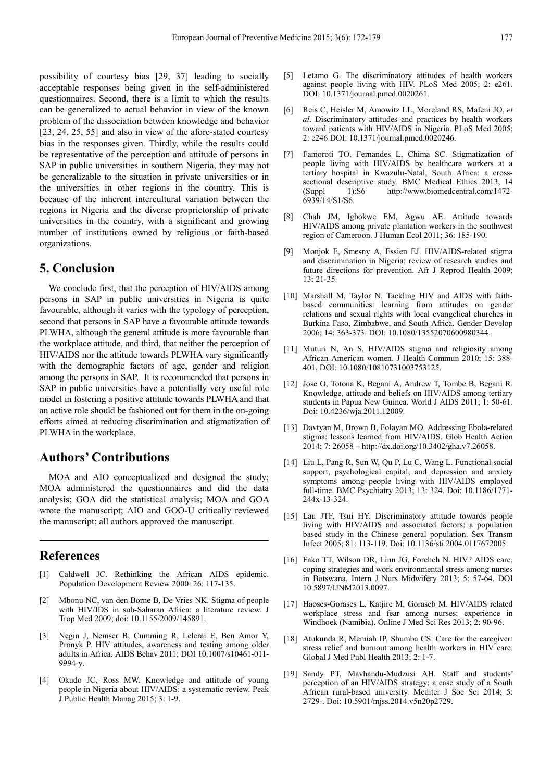possibility of courtesy bias [29, 37] leading to socially acceptable responses being given in the self-administered questionnaires. Second, there is a limit to which the results can be generalized to actual behavior in view of the known problem of the dissociation between knowledge and behavior [23, 24, 25, 55] and also in view of the afore-stated courtesy bias in the responses given. Thirdly, while the results could be representative of the perception and attitude of persons in SAP in public universities in southern Nigeria, they may not be generalizable to the situation in private universities or in the universities in other regions in the country. This is because of the inherent intercultural variation between the regions in Nigeria and the diverse proprietorship of private universities in the country, with a significant and growing number of institutions owned by religious or faith-based organizations.

## **5. Conclusion**

We conclude first, that the perception of HIV/AIDS among persons in SAP in public universities in Nigeria is quite favourable, although it varies with the typology of perception, second that persons in SAP have a favourable attitude towards PLWHA, although the general attitude is more favourable than the workplace attitude, and third, that neither the perception of HIV/AIDS nor the attitude towards PLWHA vary significantly with the demographic factors of age, gender and religion among the persons in SAP. It is recommended that persons in SAP in public universities have a potentially very useful role model in fostering a positive attitude towards PLWHA and that an active role should be fashioned out for them in the on-going efforts aimed at reducing discrimination and stigmatization of PLWHA in the workplace.

### **Authors' Contributions**

MOA and AIO conceptualized and designed the study; MOA administered the questionnaires and did the data analysis; GOA did the statistical analysis; MOA and GOA wrote the manuscript; AIO and GOO-U critically reviewed the manuscript; all authors approved the manuscript.

#### **References**

- [1] Caldwell JC. Rethinking the African AIDS epidemic. Population Development Review 2000: 26: 117-135.
- [2] Mbonu NC, van den Borne B, De Vries NK. Stigma of people with HIV/IDS in sub-Saharan Africa: a literature review. J Trop Med 2009; doi: 10.1155/2009/145891.
- [3] Negin J, Nemser B, Cumming R, Lelerai E, Ben Amor Y, Pronyk P. HIV attitudes, awareness and testing among older adults in Africa. AIDS Behav 2011; DOI 10.1007/s10461-011- 9994-y.
- [4] Okudo JC, Ross MW. Knowledge and attitude of young people in Nigeria about HIV/AIDS: a systematic review. Peak J Public Health Manag 2015; 3: 1-9.
- [5] Letamo G. The discriminatory attitudes of health workers against people living with HIV. PLoS Med 2005; 2: e261. DOI: 10.1371/journal.pmed.0020261.
- [6] Reis C, Heisler M, Amowitz LL, Moreland RS, Mafeni JO, *et al*. Discriminatory attitudes and practices by health workers toward patients with HIV/AIDS in Nigeria. PLoS Med 2005; 2: e246 DOI: 10.1371/journal.pmed.0020246.
- [7] Famoroti TO, Fernandes L, Chima SC. Stigmatization of people living with HIV/AIDS by healthcare workers at a tertiary hospital in Kwazulu-Natal, South Africa: a crosssectional descriptive study. BMC Medical Ethics 2013, 14 (Suppl 1):S6 http://www.biomedcentral.com/1472- 6939/14/S1/S6.
- [8] Chah JM, Igbokwe EM, Agwu AE. Attitude towards HIV/AIDS among private plantation workers in the southwest region of Cameroon. J Human Ecol 2011; 36: 185-190.
- [9] Monjok E, Smesny A, Essien EJ. HIV/AIDS-related stigma and discrimination in Nigeria: review of research studies and future directions for prevention. Afr J Reprod Health 2009; 13: 21-35.
- [10] Marshall M, Taylor N. Tackling HIV and AIDS with faithbased communities: learning from attitudes on gender relations and sexual rights with local evangelical churches in Burkina Faso, Zimbabwe, and South Africa. Gender Develop 2006; 14: 363-373. DOI: 10.1080/13552070600980344.
- [11] Muturi N, An S. HIV/AIDS stigma and religiosity among African American women. J Health Commun 2010; 15: 388- 401, DOI: 10.1080/10810731003753125.
- [12] Jose O, Totona K, Begani A, Andrew T, Tombe B, Begani R. Knowledge, attitude and beliefs on HIV/AIDS among tertiary students in Papua New Guinea. World J AIDS 2011; 1: 50-61. Doi: 10.4236/wja.2011.12009.
- [13] Davtyan M, Brown B, Folayan MO. Addressing Ebola-related stigma: lessons learned from HIV/AIDS. Glob Health Action 2014; 7: 26058 – http://dx.doi.org/10.3402/gha.v7.26058.
- [14] Liu L, Pang R, Sun W, Qu P, Lu C, Wang L. Functional social support, psychological capital, and depression and anxiety symptoms among people living with HIV/AIDS employed full-time. BMC Psychiatry 2013; 13: 324. Doi: 10.1186/1771- 244x-13-324.
- [15] Lau JTF, Tsui HY. Discriminatory attitude towards people living with HIV/AIDS and associated factors: a population based study in the Chinese general population. Sex Transm Infect 2005; 81: 113-119. Doi: 10.1136/sti.2004.0117672005
- [16] Fako TT, Wilson DR, Linn JG, Forcheh N. HIV? AIDS care, coping strategies and work environmental stress among nurses in Botswana. Intern J Nurs Midwifery 2013; 5: 57-64. DOI 10.5897/IJNM2013.0097.
- [17] Haoses-Gorases L, Katjire M, Goraseb M. HIV/AIDS related workplace stress and fear among nurses: experience in Windhoek (Namibia). Online J Med Sci Res 2013; 2: 90-96.
- [18] Atukunda R, Memiah IP, Shumba CS. Care for the caregiver: stress relief and burnout among health workers in HIV care. Global J Med Publ Health 2013; 2: 1-7.
- [19] Sandy PT, Mavhandu-Mudzusi AH. Staff and students' perception of an HIV/AIDS strategy: a case study of a South African rural-based university. Mediter J Soc Sci 2014; 5: 2729-. Doi: 10.5901/mjss.2014.v5n20p2729.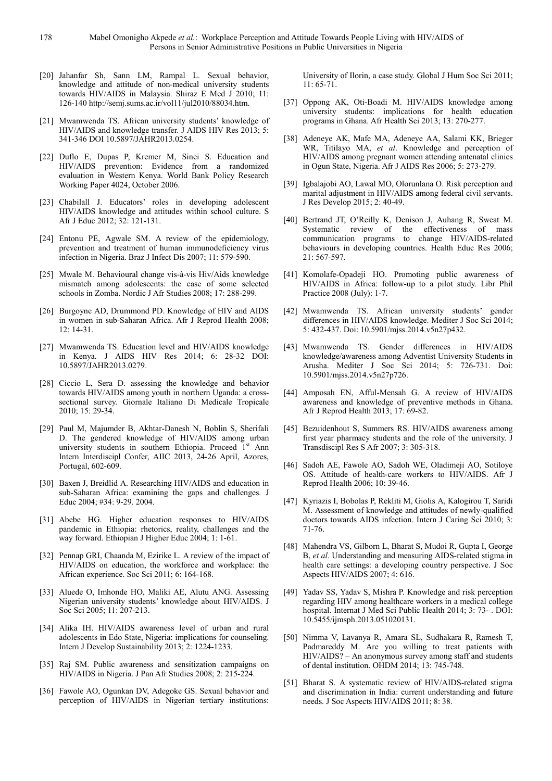- [20] Jahanfar Sh, Sann LM, Rampal L. Sexual behavior, knowledge and attitude of non-medical university students towards HIV/AIDS in Malaysia. Shiraz E Med J 2010; 11: 126-140 http://semj.sums.ac.ir/vol11/jul2010/88034.htm.
- [21] Mwamwenda TS. African university students' knowledge of HIV/AIDS and knowledge transfer. J AIDS HIV Res 2013; 5: 341-346 DOI 10.5897/JAHR2013.0254.
- [22] Duflo E, Dupas P, Kremer M, Sinei S. Education and HIV/AIDS prevention: Evidence from a randomized evaluation in Western Kenya. World Bank Policy Research Working Paper 4024, October 2006.
- [23] Chabilall J. Educators' roles in developing adolescent HIV/AIDS knowledge and attitudes within school culture. S Afr J Educ 2012; 32: 121-131.
- [24] Entonu PE, Agwale SM. A review of the epidemiology, prevention and treatment of human immunodeficiency virus infection in Nigeria. Braz J Infect Dis 2007; 11: 579-590.
- [25] Mwale M. Behavioural change vis-à-vis Hiv/Aids knowledge mismatch among adolescents: the case of some selected schools in Zomba. Nordic J Afr Studies 2008; 17: 288-299.
- [26] Burgoyne AD, Drummond PD. Knowledge of HIV and AIDS in women in sub-Saharan Africa. Afr J Reprod Health 2008; 12: 14-31.
- [27] Mwamwenda TS. Education level and HIV/AIDS knowledge in Kenya. J AIDS HIV Res 2014; 6: 28-32 DOI: 10.5897/JAHR2013.0279.
- [28] Ciccio L, Sera D. assessing the knowledge and behavior towards HIV/AIDS among youth in northern Uganda: a crosssectional survey. Giornale Italiano Di Medicale Tropicale 2010; 15: 29-34.
- [29] Paul M, Majumder B, Akhtar-Danesh N, Boblin S, Sherifali D. The gendered knowledge of HIV/AIDS among urban university students in southern Ethiopia. Proceed 1<sup>st</sup> Ann Intern Interdiscipl Confer, AIIC 2013, 24-26 April, Azores, Portugal, 602-609.
- [30] Baxen J, Breidlid A. Researching HIV/AIDS and education in sub-Saharan Africa: examining the gaps and challenges. J Educ 2004; #34: 9-29. 2004.
- [31] Abebe HG. Higher education responses to HIV/AIDS pandemic in Ethiopia: rhetorics, reality, challenges and the way forward. Ethiopian J Higher Educ 2004; 1: 1-61.
- [32] Pennap GRI, Chaanda M, Ezirike L. A review of the impact of HIV/AIDS on education, the workforce and workplace: the African experience. Soc Sci 2011; 6: 164-168.
- [33] Aluede O, Imhonde HO, Maliki AE, Alutu ANG. Assessing Nigerian university students' knowledge about HIV/AIDS. J Soc Sci 2005; 11: 207-213.
- [34] Alika IH. HIV/AIDS awareness level of urban and rural adolescents in Edo State, Nigeria: implications for counseling. Intern J Develop Sustainability 2013; 2: 1224-1233.
- [35] Raj SM. Public awareness and sensitization campaigns on HIV/AIDS in Nigeria. J Pan Afr Studies 2008; 2: 215-224.
- [36] Fawole AO, Ogunkan DV, Adegoke GS. Sexual behavior and perception of HIV/AIDS in Nigerian tertiary institutions:

University of Ilorin, a case study. Global J Hum Soc Sci 2011; 11: 65-71.

- [37] Oppong AK, Oti-Boadi M. HIV/AIDS knowledge among university students: implications for health education programs in Ghana. Afr Health Sci 2013; 13: 270-277.
- [38] Adeneye AK, Mafe MA, Adeneye AA, Salami KK, Brieger WR, Titilayo MA, *et al*. Knowledge and perception of HIV/AIDS among pregnant women attending antenatal clinics in Ogun State, Nigeria. Afr J AIDS Res 2006; 5: 273-279.
- [39] Igbalajobi AO, Lawal MO, Olorunlana O. Risk perception and marital adjustment in HIV/AIDS among federal civil servants. J Res Develop 2015; 2: 40-49.
- [40] Bertrand JT, O'Reilly K, Denison J, Auhang R, Sweat M. Systematic review of the effectiveness of mass communication programs to change HIV/AIDS-related behaviours in developing countries. Health Educ Res 2006; 21: 567-597.
- [41] Komolafe-Opadeji HO. Promoting public awareness of HIV/AIDS in Africa: follow-up to a pilot study. Libr Phil Practice 2008 (July): 1-7.
- [42] Mwamwenda TS. African university students' gender differences in HIV/AIDS knowledge. Mediter J Soc Sci 2014; 5: 432-437. Doi: 10.5901/mjss.2014.v5n27p432.
- [43] Mwamwenda TS. Gender differences in HIV/AIDS knowledge/awareness among Adventist University Students in Arusha. Mediter J Soc Sci 2014; 5: 726-731. Doi: 10.5901/mjss.2014.v5n27p726.
- [44] Amposah EN, Afful-Mensah G. A review of HIV/AIDS awareness and knowledge of preventive methods in Ghana. Afr J Reprod Health 2013; 17: 69-82.
- [45] Bezuidenhout S, Summers RS. HIV/AIDS awareness among first year pharmacy students and the role of the university. J Transdiscipl Res S Afr 2007; 3: 305-318.
- [46] Sadoh AE, Fawole AO, Sadoh WE, Oladimeji AO, Sotiloye OS. Attitude of health-care workers to HIV/AIDS. Afr J Reprod Health 2006; 10: 39-46.
- [47] Kyriazis I, Bobolas P, Rekliti M, Giolis A, Kalogirou T, Saridi M. Assessment of knowledge and attitudes of newly-qualified doctors towards AIDS infection. Intern J Caring Sci 2010; 3: 71-76.
- [48] Mahendra VS, Gilborn L, Bharat S, Mudoi R, Gupta I, George B, *et al*. Understanding and measuring AIDS-related stigma in health care settings: a developing country perspective. J Soc Aspects HIV/AIDS 2007; 4: 616.
- [49] Yadav SS, Yadav S, Mishra P. Knowledge and risk perception regarding HIV among healthcare workers in a medical college hospital. Internat J Med Sci Public Health 2014; 3: 73- . DOI: 10.5455/ijmsph.2013.051020131.
- [50] Nimma V, Lavanya R, Amara SL, Sudhakara R, Ramesh T, Padmareddy M. Are you willing to treat patients with HIV/AIDS? – An anonymous survey among staff and students of dental institution. OHDM 2014; 13: 745-748.
- [51] Bharat S. A systematic review of HIV/AIDS-related stigma and discrimination in India: current understanding and future needs. J Soc Aspects HIV/AIDS 2011; 8: 38.